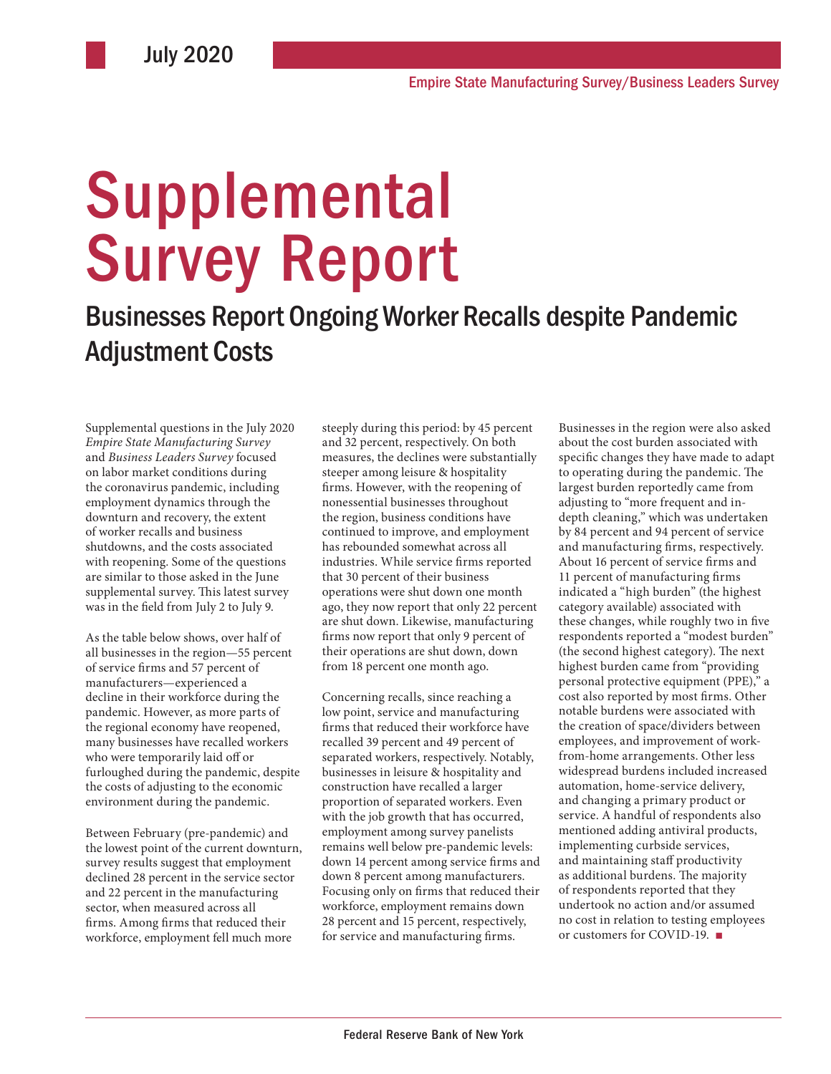# Supplemental Survey Report

# Businesses Report Ongoing Worker Recalls despite Pandemic Adjustment Costs

Supplemental questions in the July 2020 *Empire State Manufacturing Survey* and *Business Leaders Survey* focused on labor market conditions during the coronavirus pandemic, including employment dynamics through the downturn and recovery, the extent of worker recalls and business shutdowns, and the costs associated with reopening. Some of the questions are similar to those asked in the June supplemental survey. This latest survey was in the field from July 2 to July 9.

As the table below shows, over half of all businesses in the region—55 percent of service firms and 57 percent of manufacturers—experienced a decline in their workforce during the pandemic. However, as more parts of the regional economy have reopened, many businesses have recalled workers who were temporarily laid off or furloughed during the pandemic, despite the costs of adjusting to the economic environment during the pandemic.

Between February (pre-pandemic) and the lowest point of the current downturn, survey results suggest that employment declined 28 percent in the service sector and 22 percent in the manufacturing sector, when measured across all firms. Among firms that reduced their workforce, employment fell much more

steeply during this period: by 45 percent and 32 percent, respectively. On both measures, the declines were substantially steeper among leisure & hospitality firms. However, with the reopening of nonessential businesses throughout the region, business conditions have continued to improve, and employment has rebounded somewhat across all industries. While service firms reported that 30 percent of their business operations were shut down one month ago, they now report that only 22 percent are shut down. Likewise, manufacturing firms now report that only 9 percent of their operations are shut down, down from 18 percent one month ago.

Concerning recalls, since reaching a low point, service and manufacturing firms that reduced their workforce have recalled 39 percent and 49 percent of separated workers, respectively. Notably, businesses in leisure & hospitality and construction have recalled a larger proportion of separated workers. Even with the job growth that has occurred, employment among survey panelists remains well below pre-pandemic levels: down 14 percent among service firms and down 8 percent among manufacturers. Focusing only on firms that reduced their workforce, employment remains down 28 percent and 15 percent, respectively, for service and manufacturing firms.

Businesses in the region were also asked about the cost burden associated with specific changes they have made to adapt to operating during the pandemic. The largest burden reportedly came from adjusting to "more frequent and indepth cleaning," which was undertaken by 84 percent and 94 percent of service and manufacturing firms, respectively. About 16 percent of service firms and 11 percent of manufacturing firms indicated a "high burden" (the highest category available) associated with these changes, while roughly two in five respondents reported a "modest burden" (the second highest category). The next highest burden came from "providing personal protective equipment (PPE)," a cost also reported by most firms. Other notable burdens were associated with the creation of space/dividers between employees, and improvement of workfrom-home arrangements. Other less widespread burdens included increased automation, home-service delivery, and changing a primary product or service. A handful of respondents also mentioned adding antiviral products, implementing curbside services, and maintaining staff productivity as additional burdens. The majority of respondents reported that they undertook no action and/or assumed no cost in relation to testing employees or customers for COVID-19. ■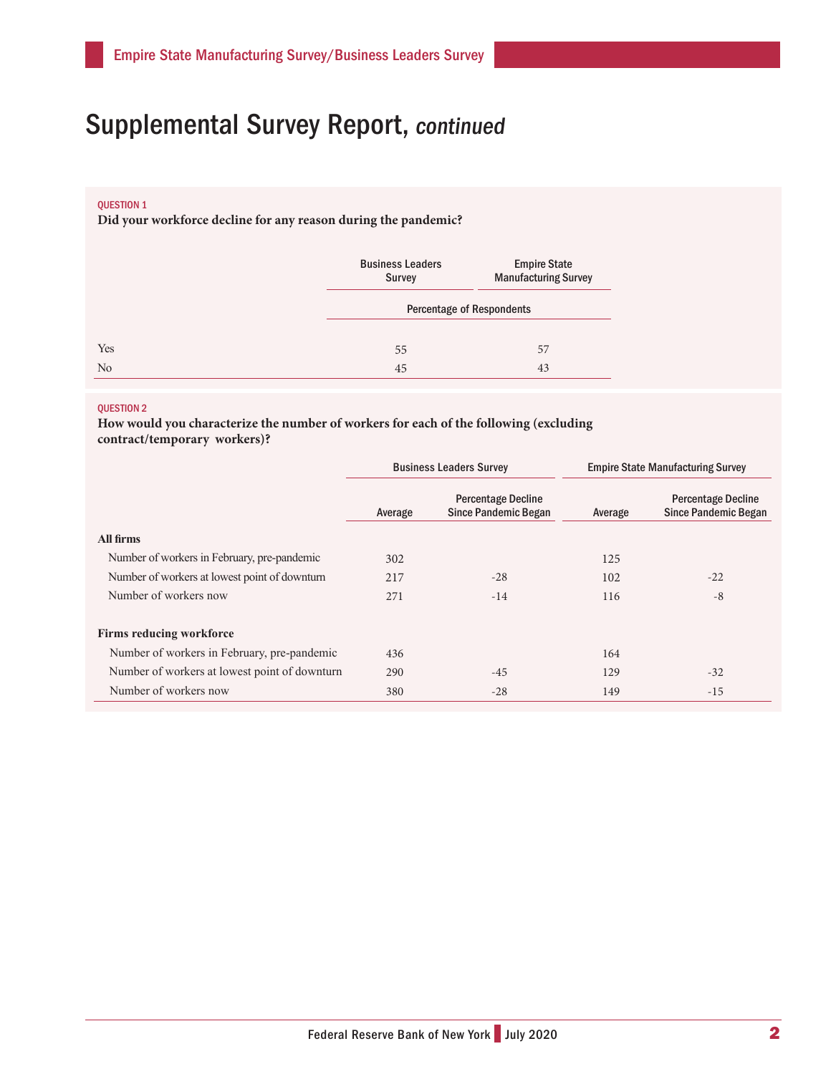# Supplemental Survey Report, continued

### QUESTION 1

**Did your workforce decline for any reason during the pandemic?** 

|                | <b>Business Leaders</b><br>Survey | <b>Empire State</b><br><b>Manufacturing Survey</b> |  |  |
|----------------|-----------------------------------|----------------------------------------------------|--|--|
|                |                                   | <b>Percentage of Respondents</b>                   |  |  |
| Yes            | 55                                | 57                                                 |  |  |
| N <sub>o</sub> | 45                                | 43                                                 |  |  |

#### QUESTION 2

**How would you characterize the number of workers for each of the following (excluding contract/temporary workers)?**

|                                               | <b>Business Leaders Survey</b> |                                                          | <b>Empire State Manufacturing Survey</b> |                                                          |
|-----------------------------------------------|--------------------------------|----------------------------------------------------------|------------------------------------------|----------------------------------------------------------|
|                                               | Average                        | <b>Percentage Decline</b><br><b>Since Pandemic Began</b> | Average                                  | <b>Percentage Decline</b><br><b>Since Pandemic Began</b> |
| All firms                                     |                                |                                                          |                                          |                                                          |
| Number of workers in February, pre-pandemic   | 302                            |                                                          | 125                                      |                                                          |
| Number of workers at lowest point of downturn | 217                            | $-28$                                                    | 102                                      | $-22$                                                    |
| Number of workers now                         | 271                            | $-14$                                                    | 116                                      | $-8$                                                     |
| <b>Firms reducing workforce</b>               |                                |                                                          |                                          |                                                          |
| Number of workers in February, pre-pandemic   | 436                            |                                                          | 164                                      |                                                          |
| Number of workers at lowest point of downturn | 290                            | $-45$                                                    | 129                                      | $-32$                                                    |
| Number of workers now                         | 380                            | $-28$                                                    | 149                                      | $-15$                                                    |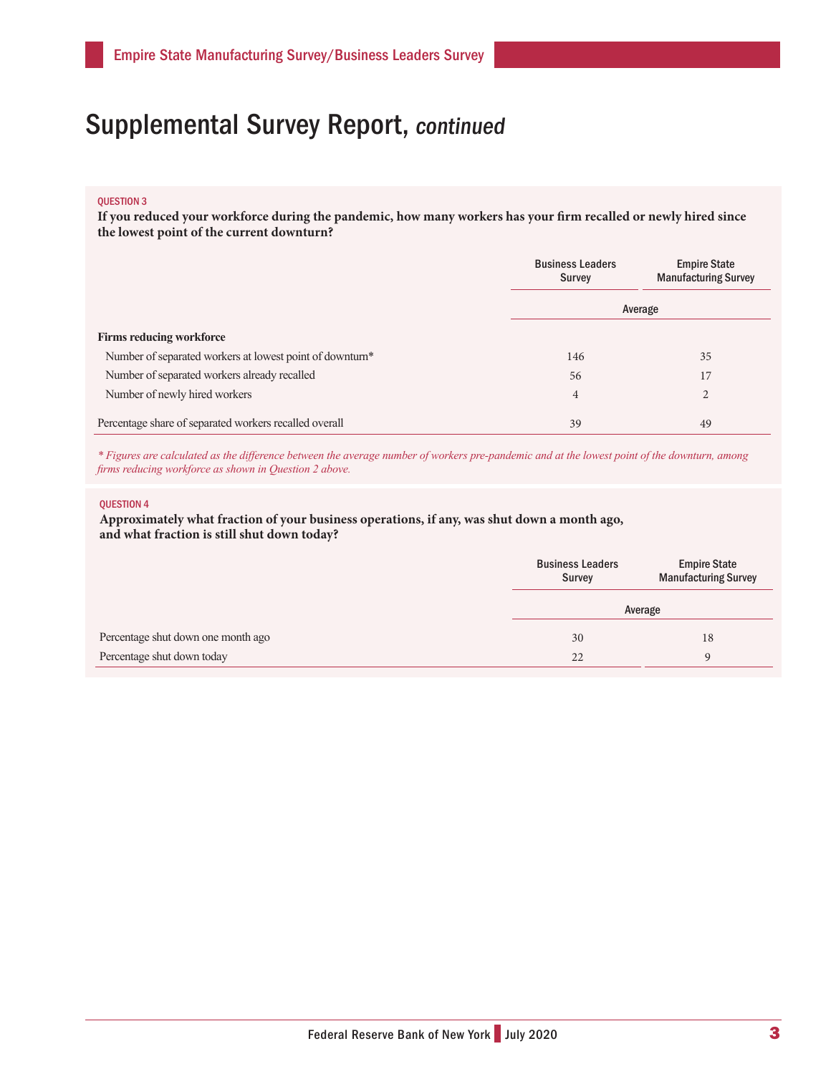# Supplemental Survey Report, continued

## QUESTION 3

**If you reduced your workforce during the pandemic, how many workers has your firm recalled or newly hired since the lowest point of the current downturn?**

|                                                          | <b>Business Leaders</b><br><b>Survey</b> | <b>Empire State</b><br><b>Manufacturing Survey</b> |  |
|----------------------------------------------------------|------------------------------------------|----------------------------------------------------|--|
|                                                          | Average                                  |                                                    |  |
| <b>Firms reducing workforce</b>                          |                                          |                                                    |  |
| Number of separated workers at lowest point of downturn* | 146                                      | 35                                                 |  |
| Number of separated workers already recalled             | 56                                       | 17                                                 |  |
| Number of newly hired workers                            | 4                                        | 2                                                  |  |
| Percentage share of separated workers recalled overall   | 39                                       | 49                                                 |  |

*\* Figures are calculated as the difference between the average number of workers pre-pandemic and at the lowest point of the downturn, among firms reducing workforce as shown in Question 2 above.*

#### QUESTION 4

## **Approximately what fraction of your business operations, if any, was shut down a month ago, and what fraction is still shut down today?**

|                                    | <b>Business Leaders</b><br><b>Survey</b> | <b>Empire State</b><br><b>Manufacturing Survey</b> |  |
|------------------------------------|------------------------------------------|----------------------------------------------------|--|
|                                    | Average                                  |                                                    |  |
| Percentage shut down one month ago | 30                                       | 18                                                 |  |
| Percentage shut down today         | 22                                       |                                                    |  |